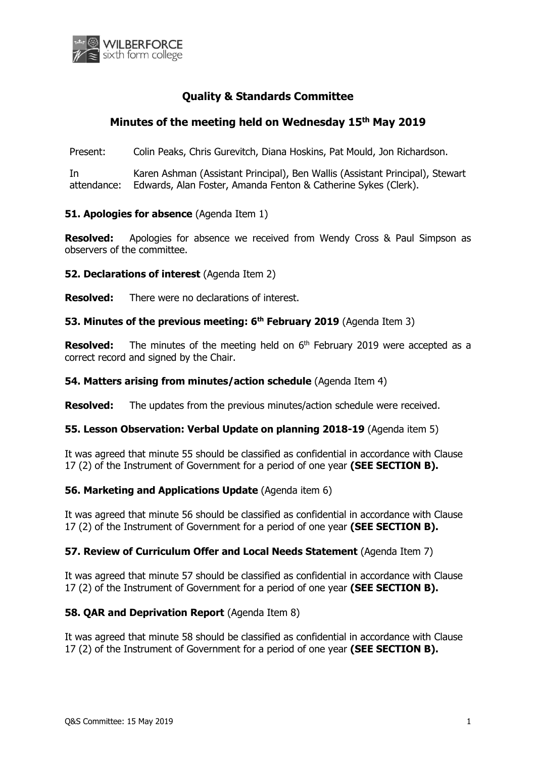

# **Quality & Standards Committee**

# **Minutes of the meeting held on Wednesday 15 th May 2019**

Present: Colin Peaks, Chris Gurevitch, Diana Hoskins, Pat Mould, Jon Richardson.

In attendance: Karen Ashman (Assistant Principal), Ben Wallis (Assistant Principal), Stewart Edwards, Alan Foster, Amanda Fenton & Catherine Sykes (Clerk).

# **51. Apologies for absence (Agenda Item 1)**

**Resolved:** Apologies for absence we received from Wendy Cross & Paul Simpson as observers of the committee.

**52. Declarations of interest** (Agenda Item 2)

**Resolved:** There were no declarations of interest.

# **53. Minutes of the previous meeting: 6 th February 2019** (Agenda Item 3)

**Resolved:** The minutes of the meeting held on 6<sup>th</sup> February 2019 were accepted as a correct record and signed by the Chair.

#### **54. Matters arising from minutes/action schedule** (Agenda Item 4)

**Resolved:** The updates from the previous minutes/action schedule were received.

#### **55. Lesson Observation: Verbal Update on planning 2018-19** (Agenda item 5)

It was agreed that minute 55 should be classified as confidential in accordance with Clause 17 (2) of the Instrument of Government for a period of one year **(SEE SECTION B).**

#### **56. Marketing and Applications Update** (Agenda item 6)

It was agreed that minute 56 should be classified as confidential in accordance with Clause 17 (2) of the Instrument of Government for a period of one year **(SEE SECTION B).**

#### **57. Review of Curriculum Offer and Local Needs Statement** (Agenda Item 7)

It was agreed that minute 57 should be classified as confidential in accordance with Clause 17 (2) of the Instrument of Government for a period of one year **(SEE SECTION B).**

#### **58. QAR and Deprivation Report** (Agenda Item 8)

It was agreed that minute 58 should be classified as confidential in accordance with Clause 17 (2) of the Instrument of Government for a period of one year **(SEE SECTION B).**